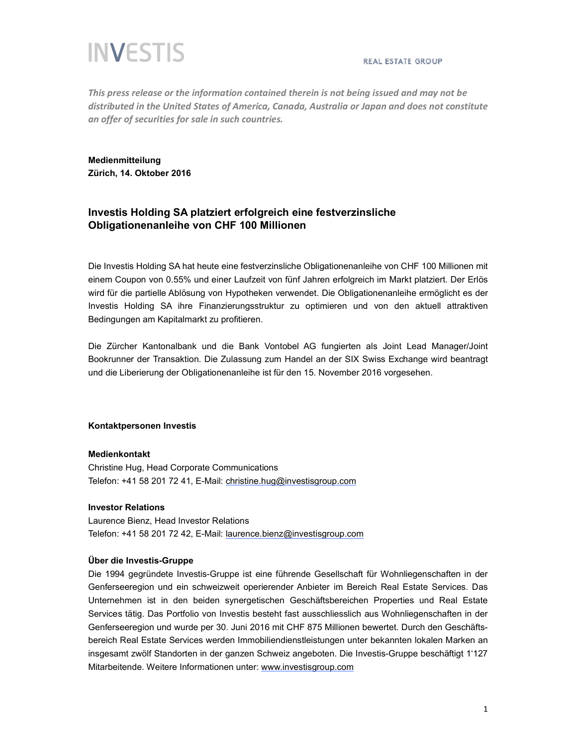# **INVESTIS**

*This press release or the information contained therein is not being issued and may not be distributed in the United States of America, Canada, Australia or Japan and does not constitute an offer of securities for sale in such countries.*

## **Medienmitteilung Zürich, 14. Oktober 2016**

## **Investis Holding SA platziert erfolgreich eine festverzinsliche Obligationenanleihe von CHF 100 Millionen**

Die Investis Holding SA hat heute eine festverzinsliche Obligationenanleihe von CHF 100 Millionen mit einem Coupon von 0.55% und einer Laufzeit von fünf Jahren erfolgreich im Markt platziert. Der Erlös wird für die partielle Ablösung von Hypotheken verwendet. Die Obligationenanleihe ermöglicht es der Investis Holding SA ihre Finanzierungsstruktur zu optimieren und von den aktuell attraktiven Bedingungen am Kapitalmarkt zu profitieren.

Die Zürcher Kantonalbank und die Bank Vontobel AG fungierten als Joint Lead Manager/Joint Bookrunner der Transaktion. Die Zulassung zum Handel an der SIX Swiss Exchange wird beantragt und die Liberierung der Obligationenanleihe ist für den 15. November 2016 vorgesehen.

#### **Kontaktpersonen Investis**

#### **Medienkontakt**

Christine Hug, Head Corporate Communications Telefon: +41 58 201 72 41, E-Mail: christine.hug@investisgroup.com

### **Investor Relations**

Laurence Bienz, Head Investor Relations Telefon: +41 58 201 72 42, E-Mail: laurence.bienz@investisgroup.com

#### **Über die Investis-Gruppe**

Die 1994 gegründete Investis-Gruppe ist eine führende Gesellschaft für Wohnliegenschaften in der Genferseeregion und ein schweizweit operierender Anbieter im Bereich Real Estate Services. Das Unternehmen ist in den beiden synergetischen Geschäftsbereichen Properties und Real Estate Services tätig. Das Portfolio von Investis besteht fast ausschliesslich aus Wohnliegenschaften in der Genferseeregion und wurde per 30. Juni 2016 mit CHF 875 Millionen bewertet. Durch den Geschäftsbereich Real Estate Services werden Immobiliendienstleistungen unter bekannten lokalen Marken an insgesamt zwölf Standorten in der ganzen Schweiz angeboten. Die Investis-Gruppe beschäftigt 1'127 Mitarbeitende. Weitere Informationen unter: www.investisgroup.com